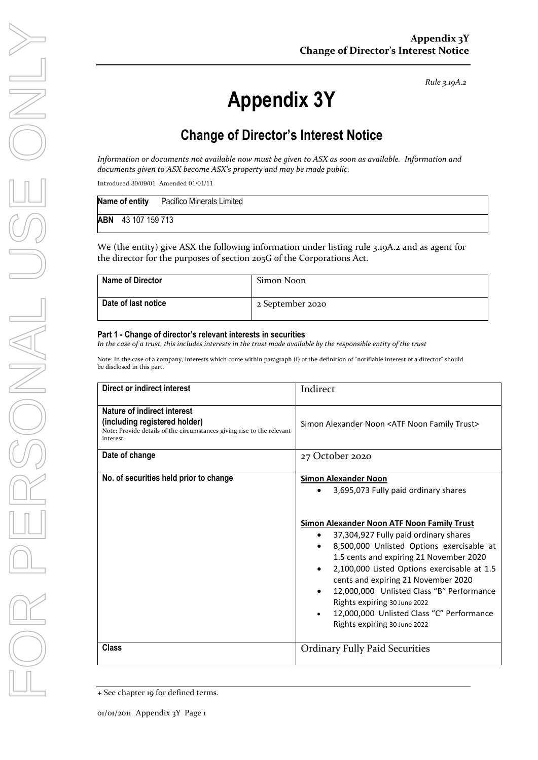*Rule 3.19A.2*

# **Appendix 3Y**

## **Change of Director's Interest Notice**

*Information or documents not available now must be given to ASX as soon as available. Information and documents given to ASX become ASX's property and may be made public.*

Introduced 30/09/01 Amended 01/01/11

|     |                | Name of entity Pacifico Minerals Limited |
|-----|----------------|------------------------------------------|
| ABN | 43 107 159 713 |                                          |

We (the entity) give ASX the following information under listing rule 3.19A.2 and as agent for the director for the purposes of section 205G of the Corporations Act.

| <b>Name of Director</b> | Simon Noon       |
|-------------------------|------------------|
| Date of last notice     | 2 September 2020 |

#### **Part 1 - Change of director's relevant interests in securities**

*In the case of a trust, this includes interests in the trust made available by the responsible entity of the trust*

Note: In the case of a company, interests which come within paragraph (i) of the definition of "notifiable interest of a director" should be disclosed in this part.

| Direct or indirect interest                                                                                                                         | Indirect                                                                                                                                                                                                                                                                                                                                                                                                                                                                                           |  |
|-----------------------------------------------------------------------------------------------------------------------------------------------------|----------------------------------------------------------------------------------------------------------------------------------------------------------------------------------------------------------------------------------------------------------------------------------------------------------------------------------------------------------------------------------------------------------------------------------------------------------------------------------------------------|--|
| Nature of indirect interest<br>(including registered holder)<br>Note: Provide details of the circumstances giving rise to the relevant<br>interest. | Simon Alexander Noon <atf family="" noon="" trust=""></atf>                                                                                                                                                                                                                                                                                                                                                                                                                                        |  |
| Date of change                                                                                                                                      | 27 October 2020                                                                                                                                                                                                                                                                                                                                                                                                                                                                                    |  |
| No. of securities held prior to change                                                                                                              | <b>Simon Alexander Noon</b><br>3,695,073 Fully paid ordinary shares<br>Simon Alexander Noon ATF Noon Family Trust<br>37,304,927 Fully paid ordinary shares<br>8,500,000 Unlisted Options exercisable at<br>1.5 cents and expiring 21 November 2020<br>2,100,000 Listed Options exercisable at 1.5<br>cents and expiring 21 November 2020<br>12,000,000 Unlisted Class "B" Performance<br>Rights expiring 30 June 2022<br>12,000,000 Unlisted Class "C" Performance<br>Rights expiring 30 June 2022 |  |
| <b>Class</b>                                                                                                                                        | <b>Ordinary Fully Paid Securities</b>                                                                                                                                                                                                                                                                                                                                                                                                                                                              |  |

<sup>+</sup> See chapter 19 for defined terms.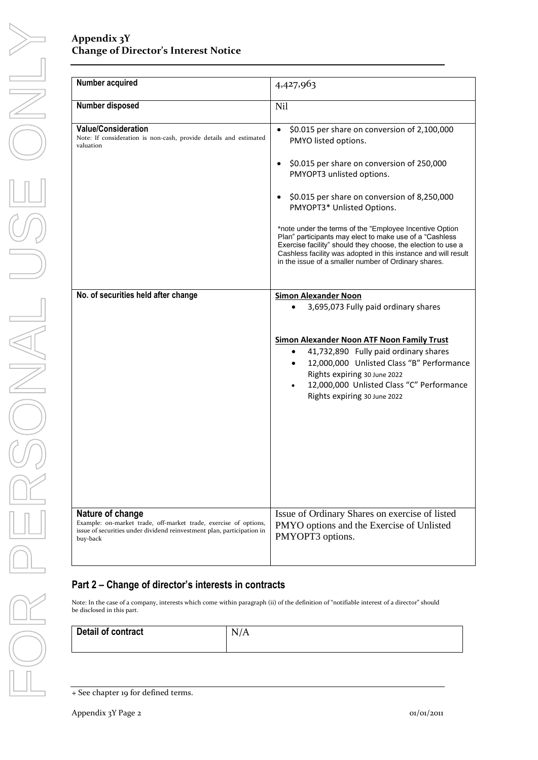#### **Appendix 3Y Change of Director's Interest Notice**

| Number acquired                                                                                                                                                            | 4,427,963                                                                                                                                                                                                                                                                                                                                                                                                                                                                                                                                      |  |
|----------------------------------------------------------------------------------------------------------------------------------------------------------------------------|------------------------------------------------------------------------------------------------------------------------------------------------------------------------------------------------------------------------------------------------------------------------------------------------------------------------------------------------------------------------------------------------------------------------------------------------------------------------------------------------------------------------------------------------|--|
| Number disposed                                                                                                                                                            | <b>Nil</b>                                                                                                                                                                                                                                                                                                                                                                                                                                                                                                                                     |  |
| <b>Value/Consideration</b><br>Note: If consideration is non-cash, provide details and estimated<br>valuation                                                               | \$0.015 per share on conversion of 2,100,000<br>PMYO listed options.<br>\$0.015 per share on conversion of 250,000<br>PMYOPT3 unlisted options.<br>\$0.015 per share on conversion of 8,250,000<br>PMYOPT3* Unlisted Options.<br>*note under the terms of the "Employee Incentive Option"<br>Plan" participants may elect to make use of a "Cashless<br>Exercise facility" should they choose, the election to use a<br>Cashless facility was adopted in this instance and will result<br>in the issue of a smaller number of Ordinary shares. |  |
| No. of securities held after change                                                                                                                                        | <b>Simon Alexander Noon</b><br>3,695,073 Fully paid ordinary shares<br><b>Simon Alexander Noon ATF Noon Family Trust</b><br>41,732,890 Fully paid ordinary shares<br>12,000,000 Unlisted Class "B" Performance<br>Rights expiring 30 June 2022<br>12,000,000 Unlisted Class "C" Performance<br>Rights expiring 30 June 2022                                                                                                                                                                                                                    |  |
| Nature of change<br>Example: on-market trade, off-market trade, exercise of options,<br>issue of securities under dividend reinvestment plan, participation in<br>buy-back | Issue of Ordinary Shares on exercise of listed<br>PMYO options and the Exercise of Unlisted<br>PMYOPT3 options.                                                                                                                                                                                                                                                                                                                                                                                                                                |  |

#### **Part 2 – Change of director's interests in contracts**

Note: In the case of a company, interests which come within paragraph (ii) of the definition of "notifiable interest of a director" should be disclosed in this part.

| Detail of contract | N<br>N/A<br><b>I</b> |
|--------------------|----------------------|
|                    |                      |

<sup>+</sup> See chapter 19 for defined terms.